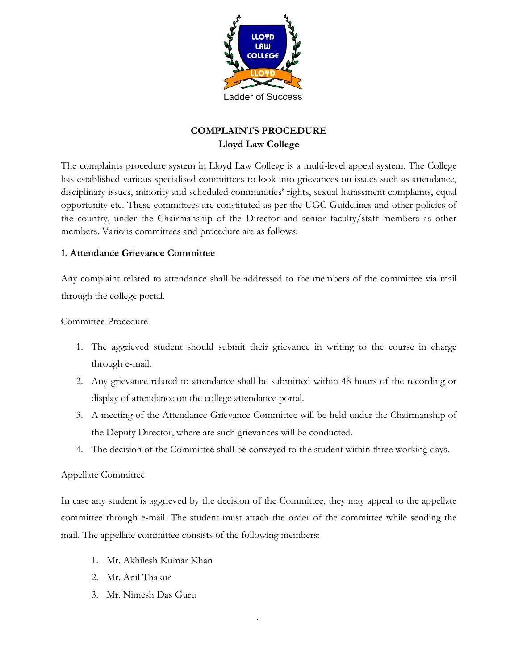

# **COMPLAINTS PROCEDURE Lloyd Law College**

The complaints procedure system in Lloyd Law College is a multi-level appeal system. The College has established various specialised committees to look into grievances on issues such as attendance, disciplinary issues, minority and scheduled communities' rights, sexual harassment complaints, equal opportunity etc. These committees are constituted as per the UGC Guidelines and other policies of the country, under the Chairmanship of the Director and senior faculty/staff members as other members. Various committees and procedure are as follows:

#### **1. Attendance Grievance Committee**

Any complaint related to attendance shall be addressed to the members of the committee via mail through the college portal.

Committee Procedure

- 1. The aggrieved student should submit their grievance in writing to the course in charge through e-mail.
- 2. Any grievance related to attendance shall be submitted within 48 hours of the recording or display of attendance on the college attendance portal.
- 3. A meeting of the Attendance Grievance Committee will be held under the Chairmanship of the Deputy Director, where are such grievances will be conducted.
- 4. The decision of the Committee shall be conveyed to the student within three working days.

#### Appellate Committee

In case any student is aggrieved by the decision of the Committee, they may appeal to the appellate committee through e-mail. The student must attach the order of the committee while sending the mail. The appellate committee consists of the following members:

- 1. Mr. Akhilesh Kumar Khan
- 2. Mr. Anil Thakur
- 3. Mr. Nimesh Das Guru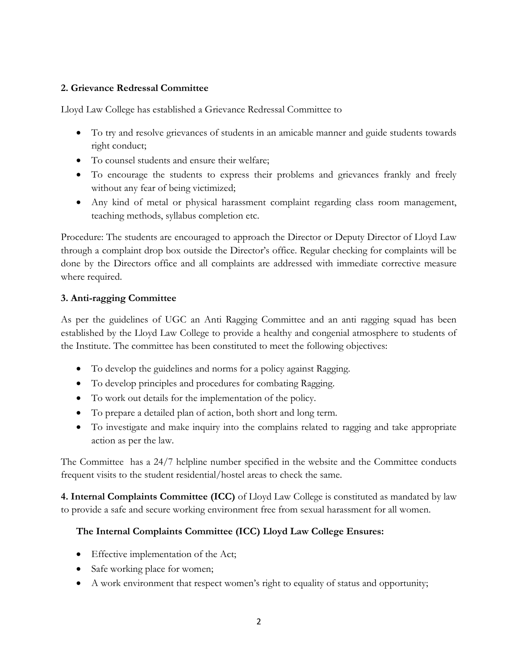#### **2. Grievance Redressal Committee**

Lloyd Law College has established a Grievance Redressal Committee to

- To try and resolve grievances of students in an amicable manner and guide students towards right conduct;
- To counsel students and ensure their welfare;
- To encourage the students to express their problems and grievances frankly and freely without any fear of being victimized;
- Any kind of metal or physical harassment complaint regarding class room management, teaching methods, syllabus completion etc.

Procedure: The students are encouraged to approach the Director or Deputy Director of Lloyd Law through a complaint drop box outside the Director's office. Regular checking for complaints will be done by the Directors office and all complaints are addressed with immediate corrective measure where required.

#### **3. Anti-ragging Committee**

As per the guidelines of UGC an Anti Ragging Committee and an anti ragging squad has been established by the Lloyd Law College to provide a healthy and congenial atmosphere to students of the Institute. The committee has been constituted to meet the following objectives:

- To develop the guidelines and norms for a policy against Ragging.
- To develop principles and procedures for combating Ragging.
- To work out details for the implementation of the policy.
- To prepare a detailed plan of action, both short and long term.
- To investigate and make inquiry into the complains related to ragging and take appropriate action as per the law.

The Committee has a 24/7 helpline number specified in the website and the Committee conducts frequent visits to the student residential/hostel areas to check the same.

**4. Internal Complaints Committee (ICC)** of Lloyd Law College is constituted as mandated by law to provide a safe and secure working environment free from sexual harassment for all women.

#### **The Internal Complaints Committee (ICC) Lloyd Law College Ensures:**

- Effective implementation of the Act;
- Safe working place for women;
- A work environment that respect women's right to equality of status and opportunity;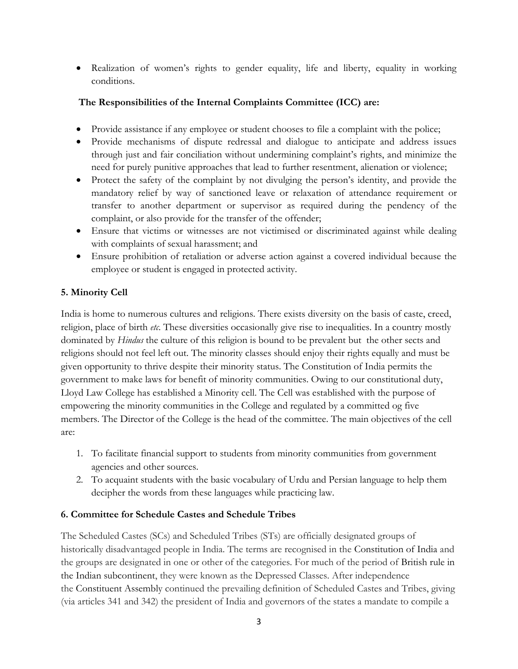Realization of women's rights to gender equality, life and liberty, equality in working conditions.

#### **The Responsibilities of the Internal Complaints Committee (ICC) are:**

- Provide assistance if any employee or student chooses to file a complaint with the police;
- Provide mechanisms of dispute redressal and dialogue to anticipate and address issues through just and fair conciliation without undermining complaint's rights, and minimize the need for purely punitive approaches that lead to further resentment, alienation or violence;
- Protect the safety of the complaint by not divulging the person's identity, and provide the mandatory relief by way of sanctioned leave or relaxation of attendance requirement or transfer to another department or supervisor as required during the pendency of the complaint, or also provide for the transfer of the offender;
- Ensure that victims or witnesses are not victimised or discriminated against while dealing with complaints of sexual harassment; and
- Ensure prohibition of retaliation or adverse action against a covered individual because the employee or student is engaged in protected activity.

### **5. Minority Cell**

India is home to numerous cultures and religions. There exists diversity on the basis of caste, creed, religion, place of birth *etc*. These diversities occasionally give rise to inequalities. In a country mostly dominated by *Hindus* the culture of this religion is bound to be prevalent but the other sects and religions should not feel left out. The minority classes should enjoy their rights equally and must be given opportunity to thrive despite their minority status. The Constitution of India permits the government to make laws for benefit of minority communities. Owing to our constitutional duty, Lloyd Law College has established a Minority cell. The Cell was established with the purpose of empowering the minority communities in the College and regulated by a committed og five members. The Director of the College is the head of the committee. The main objectives of the cell are:

- 1. To facilitate financial support to students from minority communities from government agencies and other sources.
- 2. To acquaint students with the basic vocabulary of Urdu and Persian language to help them decipher the words from these languages while practicing law.

#### **6. Committee for Schedule Castes and Schedule Tribes**

The Scheduled Castes (SCs) and Scheduled Tribes (STs) are officially designated groups of historically disadvantaged people in India. The terms are recognised in the Constitution of India and the groups are designated in one or other of the categories. For much of the period of British rule in the Indian subcontinent, they were known as the Depressed Classes. After independence the Constituent Assembly continued the prevailing definition of Scheduled Castes and Tribes, giving (via articles 341 and 342) the president of India and governors of the states a mandate to compile a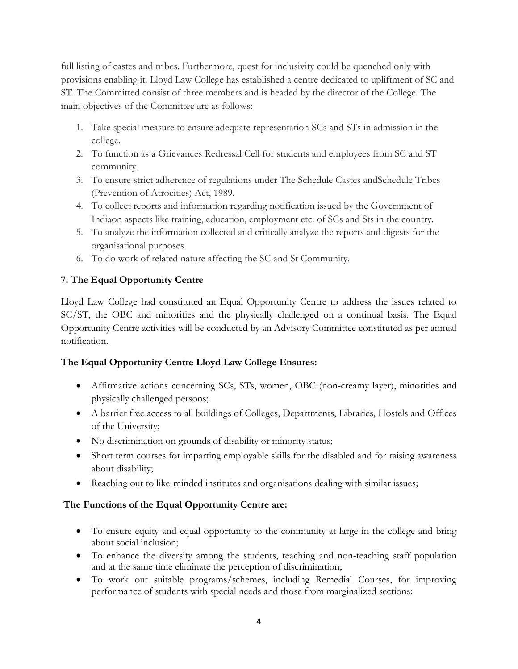full listing of castes and tribes. Furthermore, quest for inclusivity could be quenched only with provisions enabling it. Lloyd Law College has established a centre dedicated to upliftment of SC and ST. The Committed consist of three members and is headed by the director of the College. The main objectives of the Committee are as follows:

- 1. Take special measure to ensure adequate representation SCs and STs in admission in the college.
- 2. To function as a Grievances Redressal Cell for students and employees from SC and ST community.
- 3. To ensure strict adherence of regulations under The Schedule Castes andSchedule Tribes (Prevention of Atrocities) Act, 1989.
- 4. To collect reports and information regarding notification issued by the Government of Indiaon aspects like training, education, employment etc. of SCs and Sts in the country.
- 5. To analyze the information collected and critically analyze the reports and digests for the organisational purposes.
- 6. To do work of related nature affecting the SC and St Community.

## **7. The Equal Opportunity Centre**

Lloyd Law College had constituted an Equal Opportunity Centre to address the issues related to SC/ST, the OBC and minorities and the physically challenged on a continual basis. The Equal Opportunity Centre activities will be conducted by an Advisory Committee constituted as per annual notification.

#### **The Equal Opportunity Centre Lloyd Law College Ensures:**

- Affirmative actions concerning SCs, STs, women, OBC (non-creamy layer), minorities and physically challenged persons;
- A barrier free access to all buildings of Colleges, Departments, Libraries, Hostels and Offices of the University;
- No discrimination on grounds of disability or minority status;
- Short term courses for imparting employable skills for the disabled and for raising awareness about disability;
- Reaching out to like-minded institutes and organisations dealing with similar issues;

## **The Functions of the Equal Opportunity Centre are:**

- To ensure equity and equal opportunity to the community at large in the college and bring about social inclusion;
- To enhance the diversity among the students, teaching and non-teaching staff population and at the same time eliminate the perception of discrimination;
- To work out suitable programs/schemes, including Remedial Courses, for improving performance of students with special needs and those from marginalized sections;